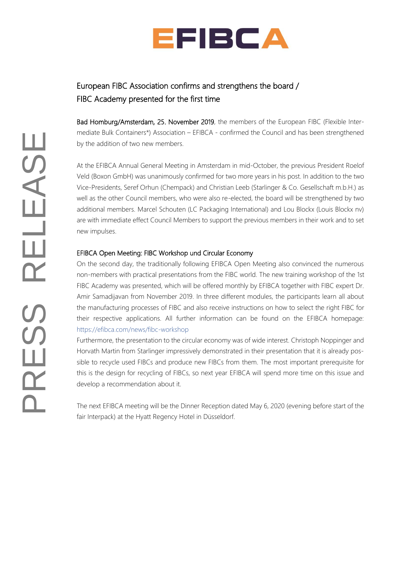

## European FIBC Association confirms and strengthens the board / FIBC Academy presented for the first time

Bad Homburg/Amsterdam, 25. November 2019, the members of the European FIBC (Flexible Intermediate Bulk Containers\*) Association – EFIBCA - confirmed the Council and has been strengthened by the addition of two new members.

At the EFIBCA Annual General Meeting in Amsterdam in mid-October, the previous President Roelof Veld (Boxon GmbH) was unanimously confirmed for two more years in his post. In addition to the two Vice-Presidents, Seref Orhun (Chempack) and Christian Leeb (Starlinger & Co. Gesellschaft m.b.H.) as well as the other Council members, who were also re-elected, the board will be strengthened by two additional members. Marcel Schouten (LC Packaging International) and Lou Blockx (Louis Blockx nv) are with immediate effect Council Members to support the previous members in their work and to set new impulses.

## EFIBCA Open Meeting: FIBC Workshop und Circular Economy

On the second day, the traditionally following EFIBCA Open Meeting also convinced the numerous non-members with practical presentations from the FIBC world. The new training workshop of the 1st FIBC Academy was presented, which will be offered monthly by EFIBCA together with FIBC expert Dr. Amir Samadijavan from November 2019. In three different modules, the participants learn all about the manufacturing processes of FIBC and also receive instructions on how to select the right FIBC for their respective applications. All further information can be found on the EFIBCA homepage: <https://efibca.com/news/fibc-workshop>

Furthermore, the presentation to the circular economy was of wide interest. Christoph Noppinger and Horvath Martin from Starlinger impressively demonstrated in their presentation that it is already possible to recycle used FIBCs and produce new FIBCs from them. The most important prerequisite for this is the design for recycling of FIBCs, so next year EFIBCA will spend more time on this issue and develop a recommendation about it.

The next EFIBCA meeting will be the Dinner Reception dated May 6, 2020 (evening before start of the fair Interpack) at the Hyatt Regency Hotel in Düsseldorf.